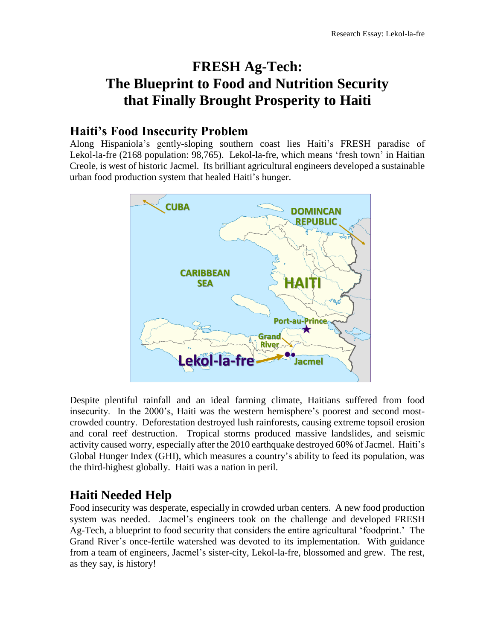# **FRESH Ag-Tech: The Blueprint to Food and Nutrition Security that Finally Brought Prosperity to Haiti**

### **Haiti's Food Insecurity Problem**

Along Hispaniola's gently-sloping southern coast lies Haiti's FRESH paradise of Lekol-la-fre (2168 population: 98,765). Lekol-la-fre, which means 'fresh town' in Haitian Creole, is west of historic Jacmel. Its brilliant agricultural engineers developed a sustainable urban food production system that healed Haiti's hunger.



Despite plentiful rainfall and an ideal farming climate, Haitians suffered from food insecurity. In the 2000's, Haiti was the western hemisphere's poorest and second mostcrowded country. Deforestation destroyed lush rainforests, causing extreme topsoil erosion and coral reef destruction. Tropical storms produced massive landslides, and seismic activity caused worry, especially after the 2010 earthquake destroyed 60% of Jacmel. Haiti's Global Hunger Index (GHI), which measures a country's ability to feed its population, was the third-highest globally. Haiti was a nation in peril.

# **Haiti Needed Help**

Food insecurity was desperate, especially in crowded urban centers. A new food production system was needed. Jacmel's engineers took on the challenge and developed FRESH Ag-Tech, a blueprint to food security that considers the entire agricultural 'foodprint.' The Grand River's once-fertile watershed was devoted to its implementation. With guidance from a team of engineers, Jacmel's sister-city, Lekol-la-fre, blossomed and grew. The rest, as they say, is history!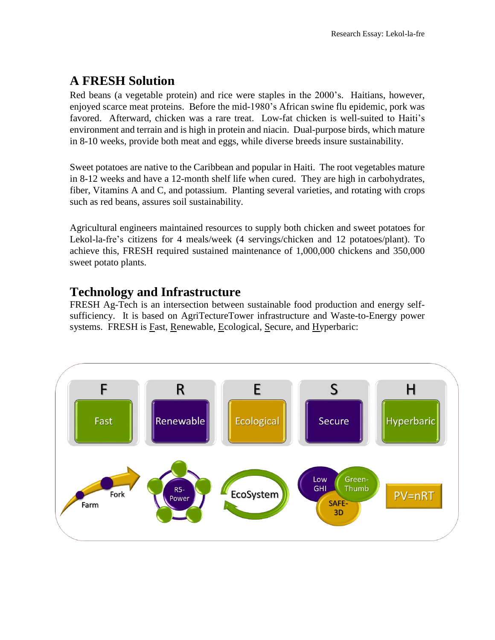## **A FRESH Solution**

Red beans (a vegetable protein) and rice were staples in the 2000's. Haitians, however, enjoyed scarce meat proteins. Before the mid-1980's African swine flu epidemic, pork was favored. Afterward, chicken was a rare treat. Low-fat chicken is well-suited to Haiti's environment and terrain and is high in protein and niacin. Dual-purpose birds, which mature in 8-10 weeks, provide both meat and eggs, while diverse breeds insure sustainability.

Sweet potatoes are native to the Caribbean and popular in Haiti. The root vegetables mature in 8-12 weeks and have a 12-month shelf life when cured. They are high in carbohydrates, fiber, Vitamins A and C, and potassium. Planting several varieties, and rotating with crops such as red beans, assures soil sustainability.

Agricultural engineers maintained resources to supply both chicken and sweet potatoes for Lekol-la-fre's citizens for 4 meals/week (4 servings/chicken and 12 potatoes/plant). To achieve this, FRESH required sustained maintenance of 1,000,000 chickens and 350,000 sweet potato plants.

### **Technology and Infrastructure**

FRESH Ag-Tech is an intersection between sustainable food production and energy selfsufficiency. It is based on AgriTectureTower infrastructure and Waste-to-Energy power systems. FRESH is <u>Fast, Renewable, Ecological, Secure</u>, and Hyperbaric:

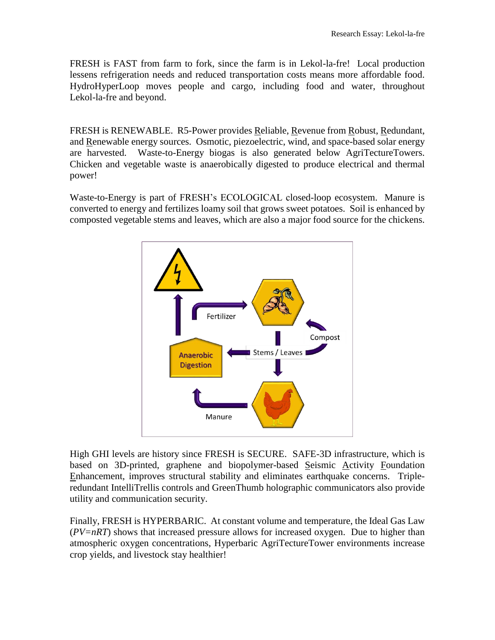FRESH is FAST from farm to fork, since the farm is in Lekol-la-fre! Local production lessens refrigeration needs and reduced transportation costs means more affordable food. HydroHyperLoop moves people and cargo, including food and water, throughout Lekol-la-fre and beyond.

FRESH is RENEWABLE. R5-Power provides Reliable, Revenue from Robust, Redundant, and Renewable energy sources. Osmotic, piezoelectric, wind, and space-based solar energy are harvested. Waste-to-Energy biogas is also generated below AgriTectureTowers. Chicken and vegetable waste is anaerobically digested to produce electrical and thermal power!

Waste-to-Energy is part of FRESH's ECOLOGICAL closed-loop ecosystem. Manure is converted to energy and fertilizes loamy soil that grows sweet potatoes. Soil is enhanced by composted vegetable stems and leaves, which are also a major food source for the chickens.



High GHI levels are history since FRESH is SECURE. SAFE-3D infrastructure, which is based on 3D-printed, graphene and biopolymer-based Seismic Activity Foundation Enhancement, improves structural stability and eliminates earthquake concerns. Tripleredundant IntelliTrellis controls and GreenThumb holographic communicators also provide utility and communication security.

Finally, FRESH is HYPERBARIC. At constant volume and temperature, the Ideal Gas Law (*PV=nRT*) shows that increased pressure allows for increased oxygen. Due to higher than atmospheric oxygen concentrations, Hyperbaric AgriTectureTower environments increase crop yields, and livestock stay healthier!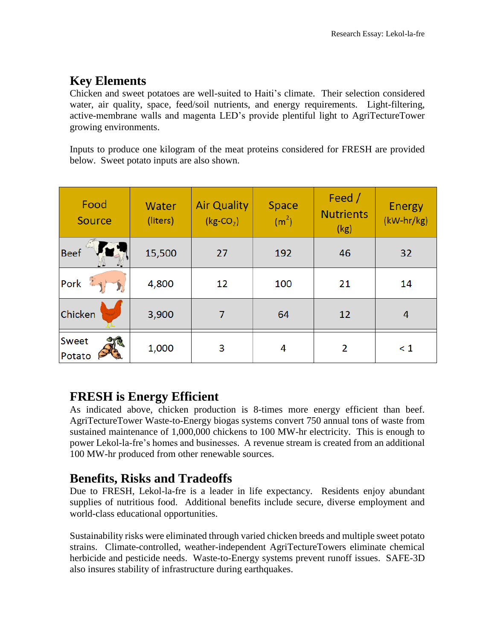# **Key Elements**

Chicken and sweet potatoes are well-suited to Haiti's climate. Their selection considered water, air quality, space, feed/soil nutrients, and energy requirements. Light-filtering, active-membrane walls and magenta LED's provide plentiful light to AgriTectureTower growing environments.

Inputs to produce one kilogram of the meat proteins considered for FRESH are provided below. Sweet potato inputs are also shown.

| Food<br>Source    | Water<br>(liters) | <b>Air Quality</b><br>$(kg$ -CO <sub>2</sub> ) | Space<br>(m <sup>2</sup> ) | Feed /<br><b>Nutrients</b><br>(kg) | <b>Energy</b><br>(kW-hr/kg) |
|-------------------|-------------------|------------------------------------------------|----------------------------|------------------------------------|-----------------------------|
| <b>Beef</b>       | 15,500            | 27                                             | 192                        | 46                                 | 32                          |
| $\bar{x}$<br>Pork | 4,800             | 12                                             | 100                        | 21                                 | 14                          |
| Chicken           | 3,900             | 7                                              | 64                         | 12                                 | $\overline{4}$              |
| Sweet<br>Potato   | 1,000             | 3                                              | 4                          | 2                                  | $\leq 1$                    |

## **FRESH is Energy Efficient**

As indicated above, chicken production is 8-times more energy efficient than beef. AgriTectureTower Waste-to-Energy biogas systems convert 750 annual tons of waste from sustained maintenance of 1,000,000 chickens to 100 MW-hr electricity. This is enough to power Lekol-la-fre's homes and businesses. A revenue stream is created from an additional 100 MW-hr produced from other renewable sources.

## **Benefits, Risks and Tradeoffs**

Due to FRESH, Lekol-la-fre is a leader in life expectancy. Residents enjoy abundant supplies of nutritious food. Additional benefits include secure, diverse employment and world-class educational opportunities.

Sustainability risks were eliminated through varied chicken breeds and multiple sweet potato strains. Climate-controlled, weather-independent AgriTectureTowers eliminate chemical herbicide and pesticide needs. Waste-to-Energy systems prevent runoff issues. SAFE-3D also insures stability of infrastructure during earthquakes.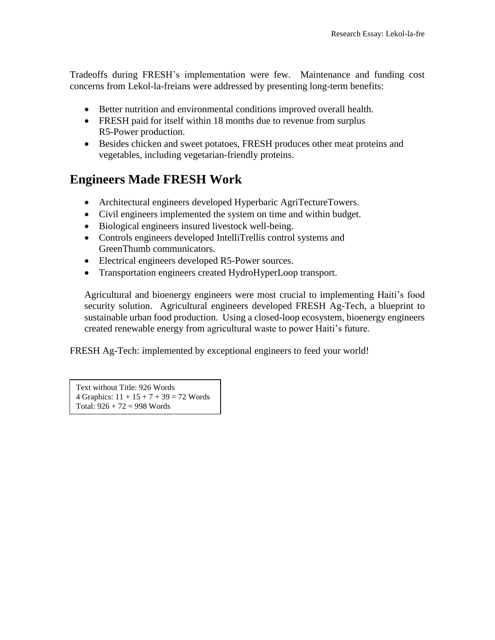Tradeoffs during FRESH's implementation were few. Maintenance and funding cost concerns from Lekol-la-freians were addressed by presenting long-term benefits:

- Better nutrition and environmental conditions improved overall health.
- FRESH paid for itself within 18 months due to revenue from surplus R5-Power production.
- Besides chicken and sweet potatoes, FRESH produces other meat proteins and vegetables, including vegetarian-friendly proteins.

### **Engineers Made FRESH Work**

- Architectural engineers developed Hyperbaric AgriTectureTowers.
- Civil engineers implemented the system on time and within budget.
- Biological engineers insured livestock well-being.
- Controls engineers developed IntelliTrellis control systems and GreenThumb communicators.
- Electrical engineers developed R5-Power sources.
- Transportation engineers created HydroHyperLoop transport.

Agricultural and bioenergy engineers were most crucial to implementing Haiti's food security solution. Agricultural engineers developed FRESH Ag-Tech, a blueprint to sustainable urban food production. Using a closed-loop ecosystem, bioenergy engineers created renewable energy from agricultural waste to power Haiti's future.

FRESH Ag-Tech: implemented by exceptional engineers to feed your world!

Text without Title: 926 Words 4 Graphics:  $11 + 15 + 7 + 39 = 72$  Words Total:  $926 + 72 = 998$  Words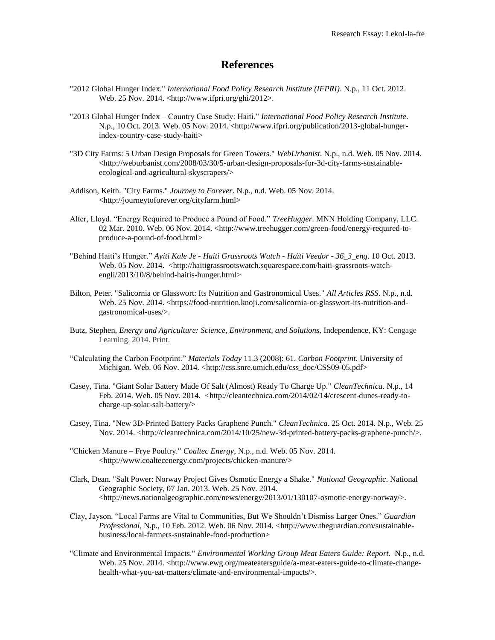#### **References**

- "2012 Global Hunger Index." *International Food Policy Research Institute (IFPRI)*. N.p., 11 Oct. 2012. Web. 25 Nov. 2014. <http://www.ifpri.org/ghi/2012>.
- "2013 Global Hunger Index Country Case Study: Haiti." *International Food Policy Research Institute*. N.p., 10 Oct. 2013. Web. 05 Nov. 2014. <http://www.ifpri.org/publication/2013-global-hungerindex-country-case-study-haiti>
- "3D City Farms: 5 Urban Design Proposals for Green Towers." *WebUrbanist*. N.p., n.d. Web. 05 Nov. 2014.  $\langle$ http://weburbanist.com/2008/03/30/5-urban-design-proposals-for-3d-city-farms-sustainableecological-and-agricultural-skyscrapers/>
- Addison, Keith. "City Farms." *Journey to Forever*. N.p., n.d. Web. 05 Nov. 2014. <http://journeytoforever.org/cityfarm.html>
- Alter, Lloyd. "Energy Required to Produce a Pound of Food." *TreeHugger*. MNN Holding Company, LLC. 02 Mar. 2010. Web. 06 Nov. 2014. <http://www.treehugger.com/green-food/energy-required-toproduce-a-pound-of-food.html>
- "Behind Haiti's Hunger." *Ayiti Kale Je - Haiti Grassroots Watch - Haïti Veedor - 36\_3\_eng*. 10 Oct. 2013. Web. 05 Nov. 2014. <http://haitigrassrootswatch.squarespace.com/haiti-grassroots-watchengli/2013/10/8/behind-haitis-hunger.html>
- Bilton, Peter. "Salicornia or Glasswort: Its Nutrition and Gastronomical Uses." *All Articles RSS*. N.p., n.d. Web. 25 Nov. 2014. <https://food-nutrition.knoji.com/salicornia-or-glasswort-its-nutrition-andgastronomical-uses/>.
- Butz, Stephen, *Energy and Agriculture: Science, Environment, and Solutions,* Independence, KY: Cengage Learning. 2014. Print.
- "Calculating the Carbon Footprint." *Materials Today* 11.3 (2008): 61. *Carbon Footprint*. University of Michigan. Web. 06 Nov. 2014. <http://css.snre.umich.edu/css\_doc/CSS09-05.pdf>
- Casey, Tina. "Giant Solar Battery Made Of Salt (Almost) Ready To Charge Up." *CleanTechnica*. N.p., 14 Feb. 2014. Web. 05 Nov. 2014. <http://cleantechnica.com/2014/02/14/crescent-dunes-ready-tocharge-up-solar-salt-battery/>
- Casey, Tina. "New 3D-Printed Battery Packs Graphene Punch." *CleanTechnica*. 25 Oct. 2014. N.p., Web. 25 Nov. 2014. <http://cleantechnica.com/2014/10/25/new-3d-printed-battery-packs-graphene-punch/>.
- "Chicken Manure Frye Poultry." *Coaltec Energy*, N.p., n.d. Web. 05 Nov. 2014. <http://www.coaltecenergy.com/projects/chicken-manure/>
- Clark, Dean. "Salt Power: Norway Project Gives Osmotic Energy a Shake." *National Geographic*. National Geographic Society, 07 Jan. 2013. Web. 25 Nov. 2014. <http://news.nationalgeographic.com/news/energy/2013/01/130107-osmotic-energy-norway/>.
- Clay, Jayson. "Local Farms are Vital to Communities, But We Shouldn't Dismiss Larger Ones." *Guardian Professional*, N.p., 10 Feb. 2012. Web. 06 Nov. 2014. <http://www.theguardian.com/sustainablebusiness/local-farmers-sustainable-food-production>
- "Climate and Environmental Impacts." *Environmental Working Group Meat Eaters Guide: Report.* N.p., n.d. Web. 25 Nov. 2014. <http://www.ewg.org/meateatersguide/a-meat-eaters-guide-to-climate-changehealth-what-you-eat-matters/climate-and-environmental-impacts/>.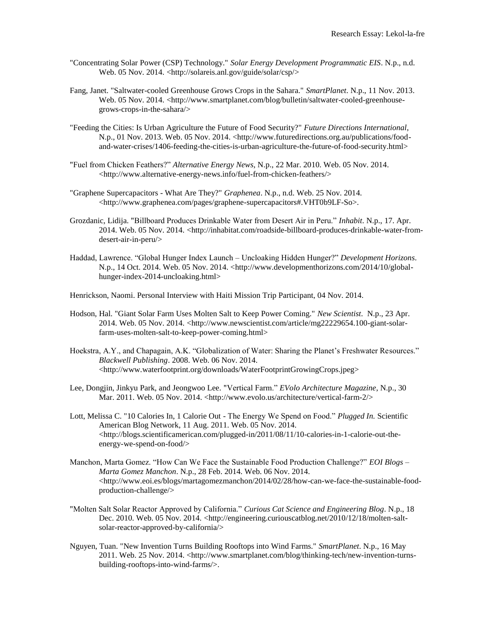- "Concentrating Solar Power (CSP) Technology." *Solar Energy Development Programmatic EIS*. N.p., n.d. Web. 05 Nov. 2014. <http://solareis.anl.gov/guide/solar/csp/>
- Fang, Janet. "Saltwater-cooled Greenhouse Grows Crops in the Sahara." *SmartPlanet*. N.p., 11 Nov. 2013. Web. 05 Nov. 2014. <http://www.smartplanet.com/blog/bulletin/saltwater-cooled-greenhousegrows-crops-in-the-sahara/>
- "Feeding the Cities: Is Urban Agriculture the Future of Food Security?" *Future Directions International*, N.p., 01 Nov. 2013. Web. 05 Nov. 2014. <http://www.futuredirections.org.au/publications/foodand-water-crises/1406-feeding-the-cities-is-urban-agriculture-the-future-of-food-security.html>
- "Fuel from Chicken Feathers?" *Alternative Energy News*, N.p., 22 Mar. 2010. Web. 05 Nov. 2014. <http://www.alternative-energy-news.info/fuel-from-chicken-feathers/>
- "Graphene Supercapacitors What Are They?" *Graphenea*. N.p., n.d. Web. 25 Nov. 2014. <http://www.graphenea.com/pages/graphene-supercapacitors#.VHT0b9LF-So>.
- Grozdanic, Lidija. "Billboard Produces Drinkable Water from Desert Air in Peru." *Inhabit*. N.p., 17. Apr. 2014. Web. 05 Nov. 2014. <http://inhabitat.com/roadside-billboard-produces-drinkable-water-fromdesert-air-in-peru/>
- Haddad, Lawrence. "Global Hunger Index Launch Uncloaking Hidden Hunger?" *Development Horizons*. N.p., 14 Oct. 2014. Web. 05 Nov. 2014. <http://www.developmenthorizons.com/2014/10/globalhunger-index-2014-uncloaking.html>

Henrickson, Naomi. Personal Interview with Haiti Mission Trip Participant, 04 Nov. 2014.

- Hodson, Hal. "Giant Solar Farm Uses Molten Salt to Keep Power Coming." *New Scientist*. N.p., 23 Apr. 2014. Web. 05 Nov. 2014. <http://www.newscientist.com/article/mg22229654.100-giant-solarfarm-uses-molten-salt-to-keep-power-coming.html>
- Hoekstra, A.Y., and Chapagain, A.K. "Globalization of Water: Sharing the Planet's Freshwater Resources." *Blackwell Publishing*. 2008. Web. 06 Nov. 2014. <http://www.waterfootprint.org/downloads/WaterFootprintGrowingCrops.jpeg>
- Lee, Dongjin, Jinkyu Park, and Jeongwoo Lee. "Vertical Farm." *EVolo Architecture Magazine*, N.p., 30 Mar. 2011. Web. 05 Nov. 2014. <http://www.evolo.us/architecture/vertical-farm-2/>
- Lott, Melissa C. "10 Calories In, 1 Calorie Out The Energy We Spend on Food." *Plugged In.* Scientific American Blog Network, 11 Aug. 2011. Web. 05 Nov. 2014.  $\langle$ http://blogs.scientificamerican.com/plugged-in/2011/08/11/10-calories-in-1-calorie-out-theenergy-we-spend-on-food/>
- Manchon, Marta Gomez. "How Can We Face the Sustainable Food Production Challenge?" *EOI Blogs – Marta Gomez Manchon*. N.p., 28 Feb. 2014. Web. 06 Nov. 2014.  $\langle$ http://www.eoi.es/blogs/martagomezmanchon/2014/02/28/how-can-we-face-the-sustainable-foodproduction-challenge/>
- "Molten Salt Solar Reactor Approved by California." *Curious Cat Science and Engineering Blog*. N.p., 18 Dec. 2010. Web. 05 Nov. 2014. <http://engineering.curiouscatblog.net/2010/12/18/molten-saltsolar-reactor-approved-by-california/>
- Nguyen, Tuan. "New Invention Turns Building Rooftops into Wind Farms." *SmartPlanet*. N.p., 16 May 2011. Web. 25 Nov. 2014. <http://www.smartplanet.com/blog/thinking-tech/new-invention-turnsbuilding-rooftops-into-wind-farms/>.